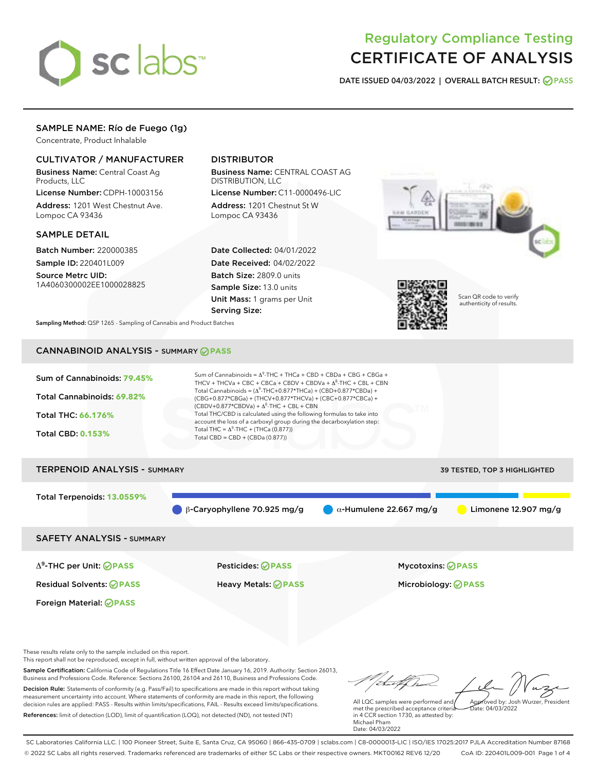

# Regulatory Compliance Testing CERTIFICATE OF ANALYSIS

DATE ISSUED 04/03/2022 | OVERALL BATCH RESULT: @ PASS

# SAMPLE NAME: Río de Fuego (1g)

Concentrate, Product Inhalable

# CULTIVATOR / MANUFACTURER

Business Name: Central Coast Ag Products, LLC

License Number: CDPH-10003156 Address: 1201 West Chestnut Ave. Lompoc CA 93436

### SAMPLE DETAIL

Batch Number: 220000385 Sample ID: 220401L009

Source Metrc UID: 1A4060300002EE1000028825

# DISTRIBUTOR

Business Name: CENTRAL COAST AG DISTRIBUTION, LLC

License Number: C11-0000496-LIC Address: 1201 Chestnut St W Lompoc CA 93436

Date Collected: 04/01/2022 Date Received: 04/02/2022 Batch Size: 2809.0 units Sample Size: 13.0 units Unit Mass: 1 grams per Unit Serving Size:





Scan QR code to verify authenticity of results.

Sampling Method: QSP 1265 - Sampling of Cannabis and Product Batches

# CANNABINOID ANALYSIS - SUMMARY **PASS**

Sum of Cannabinoids: **79.45%** Total Cannabinoids: **69.82%** Total THC: **66.176%** Total CBD: **0.153%** Sum of Cannabinoids =  $\Delta^9$ -THC + THCa + CBD + CBDa + CBG + CBGa + THCV + THCVa + CBC + CBCa + CBDV + CBDVa +  $\Delta^8$ -THC + CBL + CBN Total Cannabinoids = ( $\Delta^9$ -THC+0.877\*THCa) + (CBD+0.877\*CBDa) + (CBG+0.877\*CBGa) + (THCV+0.877\*THCVa) + (CBC+0.877\*CBCa) +  $(CBDV+0.877*CBDVa) + \Delta^8$ -THC + CBL + CBN Total THC/CBD is calculated using the following formulas to take into account the loss of a carboxyl group during the decarboxylation step: Total THC =  $\Delta^9$ -THC + (THCa (0.877)) Total CBD = CBD + (CBDa (0.877))

# TERPENOID ANALYSIS - SUMMARY 39 TESTED, TOP 3 HIGHLIGHTED Total Terpenoids: **13.0559%** β-Caryophyllene 70.925 mg/g  $\qquad \qquad \alpha$ -Humulene 22.667 mg/g  $\qquad \qquad$  Limonene 12.907 mg/g SAFETY ANALYSIS - SUMMARY

Δ9-THC per Unit: **PASS** Pesticides: **PASS** Mycotoxins: **PASS**

Foreign Material: **PASS**

Residual Solvents: **PASS** Heavy Metals: **PASS** Microbiology: **PASS**

These results relate only to the sample included on this report.

This report shall not be reproduced, except in full, without written approval of the laboratory.

Sample Certification: California Code of Regulations Title 16 Effect Date January 16, 2019. Authority: Section 26013, Business and Professions Code. Reference: Sections 26100, 26104 and 26110, Business and Professions Code. Decision Rule: Statements of conformity (e.g. Pass/Fail) to specifications are made in this report without taking measurement uncertainty into account. Where statements of conformity are made in this report, the following

decision rules are applied: PASS - Results within limits/specifications, FAIL - Results exceed limits/specifications. References: limit of detection (LOD), limit of quantification (LOQ), not detected (ND), not tested (NT)

Approved by: Josh Wurzer, President

 $ate: 04/03/2022$ 

All LQC samples were performed and met the prescribed acceptance criteria in 4 CCR section 1730, as attested by: Michael Pham Date: 04/03/2022

SC Laboratories California LLC. | 100 Pioneer Street, Suite E, Santa Cruz, CA 95060 | 866-435-0709 | sclabs.com | C8-0000013-LIC | ISO/IES 17025:2017 PJLA Accreditation Number 87168 © 2022 SC Labs all rights reserved. Trademarks referenced are trademarks of either SC Labs or their respective owners. MKT00162 REV6 12/20 CoA ID: 220401L009-001 Page 1 of 4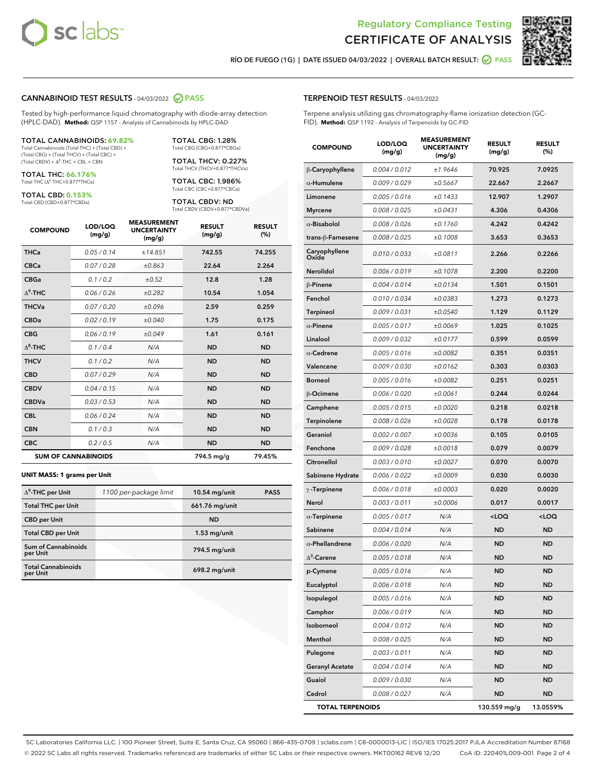



RÍO DE FUEGO (1G) | DATE ISSUED 04/03/2022 | OVERALL BATCH RESULT:  $\bigcirc$  PASS

#### CANNABINOID TEST RESULTS - 04/03/2022 2 PASS

Tested by high-performance liquid chromatography with diode-array detection (HPLC-DAD). **Method:** QSP 1157 - Analysis of Cannabinoids by HPLC-DAD

#### TOTAL CANNABINOIDS: **69.82%**

Total Cannabinoids (Total THC) + (Total CBD) + (Total CBG) + (Total THCV) + (Total CBC) +  $(Total CBDV) +  $\Delta^8$ -THC + CBL + CBN$ 

TOTAL THC: **66.176%** Total THC (Δ<sup>9</sup> -THC+0.877\*THCa)

TOTAL CBD: **0.153%** Total CBD (CBD+0.877\*CBDa)

TOTAL CBG: 1.28% Total CBG (CBG+0.877\*CBGa)

TOTAL THCV: 0.227% Total THCV (THCV+0.877\*THCVa)

TOTAL CBC: 1.986% Total CBC (CBC+0.877\*CBCa)

TOTAL CBDV: ND Total CBDV (CBDV+0.877\*CBDVa)

| <b>COMPOUND</b>  | LOD/LOQ<br>(mg/g)          | <b>MEASUREMENT</b><br><b>UNCERTAINTY</b><br>(mg/g) | <b>RESULT</b><br>(mg/g) | <b>RESULT</b><br>(%) |
|------------------|----------------------------|----------------------------------------------------|-------------------------|----------------------|
| <b>THCa</b>      | 0.05 / 0.14                | ±14.851                                            | 742.55                  | 74.255               |
| <b>CBCa</b>      | 0.07 / 0.28                | ±0.863                                             | 22.64                   | 2.264                |
| <b>CBGa</b>      | 0.1 / 0.2                  | $\pm 0.52$                                         | 12.8                    | 1.28                 |
| $\Delta^9$ -THC  | 0.06 / 0.26                | ±0.282                                             | 10.54                   | 1.054                |
| <b>THCVa</b>     | 0.07/0.20                  | ±0.096                                             | 2.59                    | 0.259                |
| <b>CBDa</b>      | 0.02/0.19                  | ±0.040                                             | 1.75                    | 0.175                |
| <b>CBG</b>       | 0.06/0.19                  | ±0.049                                             | 1.61                    | 0.161                |
| $\Lambda^8$ -THC | 0.1/0.4                    | N/A                                                | <b>ND</b>               | <b>ND</b>            |
| <b>THCV</b>      | 0.1 / 0.2                  | N/A                                                | <b>ND</b>               | <b>ND</b>            |
| <b>CBD</b>       | 0.07/0.29                  | N/A                                                | <b>ND</b>               | <b>ND</b>            |
| <b>CBDV</b>      | 0.04 / 0.15                | N/A                                                | <b>ND</b>               | <b>ND</b>            |
| <b>CBDVa</b>     | 0.03 / 0.53                | N/A                                                | <b>ND</b>               | <b>ND</b>            |
| <b>CBL</b>       | 0.06 / 0.24                | N/A                                                | <b>ND</b>               | <b>ND</b>            |
| <b>CBN</b>       | 0.1 / 0.3                  | N/A                                                | <b>ND</b>               | <b>ND</b>            |
| <b>CBC</b>       | 0.2 / 0.5                  | N/A                                                | <b>ND</b>               | <b>ND</b>            |
|                  | <b>SUM OF CANNABINOIDS</b> |                                                    | 794.5 mg/g              | 79.45%               |

#### **UNIT MASS: 1 grams per Unit**

| $\Delta^9$ -THC per Unit              | 1100 per-package limit | 10.54 mg/unit  | <b>PASS</b> |
|---------------------------------------|------------------------|----------------|-------------|
| <b>Total THC per Unit</b>             |                        | 661.76 mg/unit |             |
| <b>CBD</b> per Unit                   |                        | <b>ND</b>      |             |
| <b>Total CBD per Unit</b>             |                        | $1.53$ mg/unit |             |
| Sum of Cannabinoids<br>per Unit       |                        | 794.5 mg/unit  |             |
| <b>Total Cannabinoids</b><br>per Unit |                        | 698.2 mg/unit  |             |

#### TERPENOID TEST RESULTS - 04/03/2022

Terpene analysis utilizing gas chromatography-flame ionization detection (GC-FID). **Method:** QSP 1192 - Analysis of Terpenoids by GC-FID

| <b>COMPOUND</b>         | LOD/LOQ<br>(mg/g) | <b>MEASUREMENT</b><br><b>UNCERTAINTY</b><br>(mg/g) | <b>RESULT</b><br>(mg/g)                         | <b>RESULT</b><br>(%) |
|-------------------------|-------------------|----------------------------------------------------|-------------------------------------------------|----------------------|
| β-Caryophyllene         | 0.004 / 0.012     | ±1.9646                                            | 70.925                                          | 7.0925               |
| $\alpha$ -Humulene      | 0.009 / 0.029     | ±0.5667                                            | 22.667                                          | 2.2667               |
| Limonene                | 0.005 / 0.016     | ±0.1433                                            | 12.907                                          | 1.2907               |
| <b>Myrcene</b>          | 0.008 / 0.025     | ±0.0431                                            | 4.306                                           | 0.4306               |
| $\alpha$ -Bisabolol     | 0.008 / 0.026     | ±0.1760                                            | 4.242                                           | 0.4242               |
| trans-ß-Farnesene       | 0.008 / 0.025     | ±0.1008                                            | 3.653                                           | 0.3653               |
| Caryophyllene<br>Oxide  | 0.010 / 0.033     | ±0.0811                                            | 2.266                                           | 0.2266               |
| <b>Nerolidol</b>        | 0.006 / 0.019     | ±0.1078                                            | 2.200                                           | 0.2200               |
| β-Pinene                | 0.004 / 0.014     | ±0.0134                                            | 1.501                                           | 0.1501               |
| Fenchol                 | 0.010 / 0.034     | ±0.0383                                            | 1.273                                           | 0.1273               |
| <b>Terpineol</b>        | 0.009 / 0.031     | ±0.0540                                            | 1.129                                           | 0.1129               |
| $\alpha$ -Pinene        | 0.005 / 0.017     | ±0.0069                                            | 1.025                                           | 0.1025               |
| Linalool                | 0.009 / 0.032     | ±0.0177                                            | 0.599                                           | 0.0599               |
| $\alpha$ -Cedrene       | 0.005 / 0.016     | ±0.0082                                            | 0.351                                           | 0.0351               |
| Valencene               | 0.009 / 0.030     | ±0.0162                                            | 0.303                                           | 0.0303               |
| <b>Borneol</b>          | 0.005 / 0.016     | ±0.0082                                            | 0.251                                           | 0.0251               |
| β-Ocimene               | 0.006 / 0.020     | ±0.0061                                            | 0.244                                           | 0.0244               |
| Camphene                | 0.005 / 0.015     | ±0.0020                                            | 0.218                                           | 0.0218               |
| Terpinolene             | 0.008 / 0.026     | ±0.0028                                            | 0.178                                           | 0.0178               |
| Geraniol                | 0.002 / 0.007     | ±0.0036                                            | 0.105                                           | 0.0105               |
| Fenchone                | 0.009 / 0.028     | ±0.0018                                            | 0.079                                           | 0.0079               |
| Citronellol             | 0.003 / 0.010     | ±0.0027                                            | 0.070                                           | 0.0070               |
| Sabinene Hydrate        | 0.006 / 0.022     | ±0.0009                                            | 0.030                                           | 0.0030               |
| $\gamma$ -Terpinene     | 0.006 / 0.018     | ±0.0003                                            | 0.020                                           | 0.0020               |
| Nerol                   | 0.003 / 0.011     | ±0.0006                                            | 0.017                                           | 0.0017               |
| $\alpha$ -Terpinene     | 0.005 / 0.017     | N/A                                                | <loq< th=""><th><loq< th=""></loq<></th></loq<> | <loq< th=""></loq<>  |
| Sabinene                | 0.004 / 0.014     | N/A                                                | <b>ND</b>                                       | <b>ND</b>            |
| $\alpha$ -Phellandrene  | 0.006 / 0.020     | N/A                                                | <b>ND</b>                                       | <b>ND</b>            |
| $\Delta^3$ -Carene      | 0.005 / 0.018     | N/A                                                | <b>ND</b>                                       | ND                   |
| p-Cymene                | 0.005 / 0.016     | N/A                                                | <b>ND</b>                                       | <b>ND</b>            |
| Eucalyptol              | 0.006 / 0.018     | N/A                                                | ND                                              | ND                   |
| Isopulegol              | 0.005 / 0.016     | N/A                                                | ND                                              | ND                   |
| Camphor                 | 0.006 / 0.019     | N/A                                                | <b>ND</b>                                       | ND                   |
| Isoborneol              | 0.004 / 0.012     | N/A                                                | ND                                              | ND                   |
| Menthol                 | 0.008 / 0.025     | N/A                                                | ND                                              | ND                   |
| Pulegone                | 0.003 / 0.011     | N/A                                                | <b>ND</b>                                       | ND                   |
| <b>Geranyl Acetate</b>  | 0.004 / 0.014     | N/A                                                | ND                                              | ND                   |
| Guaiol                  | 0.009 / 0.030     | N/A                                                | ND                                              | ND                   |
| Cedrol                  | 0.008 / 0.027     | N/A                                                | <b>ND</b>                                       | ND                   |
| <b>TOTAL TERPENOIDS</b> |                   |                                                    | 130.559 mg/g                                    | 13.0559%             |

SC Laboratories California LLC. | 100 Pioneer Street, Suite E, Santa Cruz, CA 95060 | 866-435-0709 | sclabs.com | C8-0000013-LIC | ISO/IES 17025:2017 PJLA Accreditation Number 87168 © 2022 SC Labs all rights reserved. Trademarks referenced are trademarks of either SC Labs or their respective owners. MKT00162 REV6 12/20 CoA ID: 220401L009-001 Page 2 of 4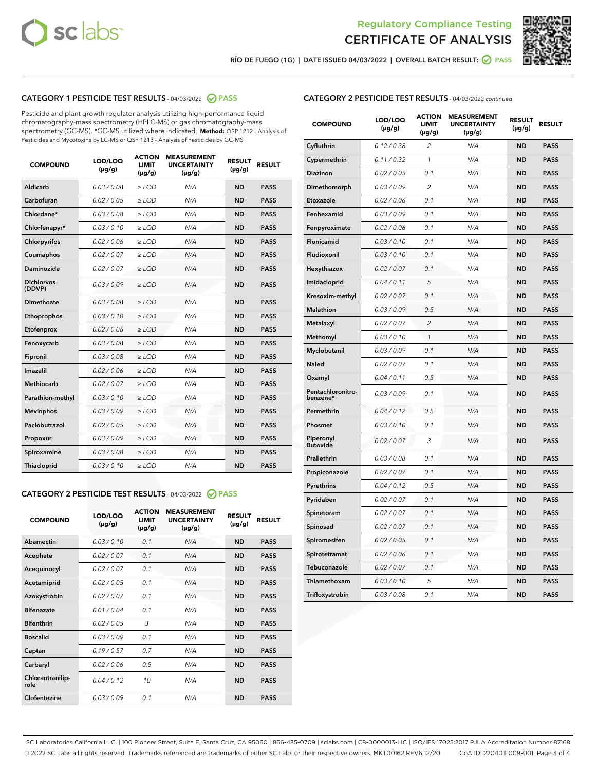



RÍO DE FUEGO (1G) | DATE ISSUED 04/03/2022 | OVERALL BATCH RESULT: O PASS

# CATEGORY 1 PESTICIDE TEST RESULTS - 04/03/2022 2 PASS

Pesticide and plant growth regulator analysis utilizing high-performance liquid chromatography-mass spectrometry (HPLC-MS) or gas chromatography-mass spectrometry (GC-MS). \*GC-MS utilized where indicated. **Method:** QSP 1212 - Analysis of Pesticides and Mycotoxins by LC-MS or QSP 1213 - Analysis of Pesticides by GC-MS

| <b>COMPOUND</b>             | LOD/LOQ<br>$(\mu g/g)$ | <b>ACTION</b><br>LIMIT<br>$(\mu g/g)$ | <b>MEASUREMENT</b><br><b>UNCERTAINTY</b><br>$(\mu g/g)$ | <b>RESULT</b><br>$(\mu g/g)$ | <b>RESULT</b> |
|-----------------------------|------------------------|---------------------------------------|---------------------------------------------------------|------------------------------|---------------|
| Aldicarb                    | 0.03 / 0.08            | $\ge$ LOD                             | N/A                                                     | <b>ND</b>                    | <b>PASS</b>   |
| Carbofuran                  | 0.02 / 0.05            | $\ge$ LOD                             | N/A                                                     | <b>ND</b>                    | <b>PASS</b>   |
| Chlordane*                  | 0.03 / 0.08            | $\ge$ LOD                             | N/A                                                     | <b>ND</b>                    | <b>PASS</b>   |
| Chlorfenapyr*               | 0.03/0.10              | $\ge$ LOD                             | N/A                                                     | <b>ND</b>                    | <b>PASS</b>   |
| Chlorpyrifos                | 0.02/0.06              | $\ge$ LOD                             | N/A                                                     | <b>ND</b>                    | <b>PASS</b>   |
| Coumaphos                   | 0.02 / 0.07            | $>$ LOD                               | N/A                                                     | <b>ND</b>                    | <b>PASS</b>   |
| Daminozide                  | 0.02 / 0.07            | $>$ LOD                               | N/A                                                     | <b>ND</b>                    | <b>PASS</b>   |
| <b>Dichlorvos</b><br>(DDVP) | 0.03/0.09              | $\ge$ LOD                             | N/A                                                     | <b>ND</b>                    | <b>PASS</b>   |
| Dimethoate                  | 0.03/0.08              | $>$ LOD                               | N/A                                                     | <b>ND</b>                    | <b>PASS</b>   |
| Ethoprophos                 | 0.03/0.10              | $\ge$ LOD                             | N/A                                                     | <b>ND</b>                    | <b>PASS</b>   |
| Etofenprox                  | 0.02 / 0.06            | $>$ LOD                               | N/A                                                     | <b>ND</b>                    | <b>PASS</b>   |
| Fenoxycarb                  | 0.03/0.08              | $>$ LOD                               | N/A                                                     | <b>ND</b>                    | <b>PASS</b>   |
| Fipronil                    | 0.03/0.08              | $\ge$ LOD                             | N/A                                                     | <b>ND</b>                    | <b>PASS</b>   |
| Imazalil                    | 0.02 / 0.06            | $>$ LOD                               | N/A                                                     | <b>ND</b>                    | <b>PASS</b>   |
| <b>Methiocarb</b>           | 0.02 / 0.07            | $\ge$ LOD                             | N/A                                                     | <b>ND</b>                    | <b>PASS</b>   |
| Parathion-methyl            | 0.03/0.10              | $>$ LOD                               | N/A                                                     | <b>ND</b>                    | <b>PASS</b>   |
| <b>Mevinphos</b>            | 0.03/0.09              | $\ge$ LOD                             | N/A                                                     | <b>ND</b>                    | <b>PASS</b>   |
| Paclobutrazol               | 0.02 / 0.05            | $\ge$ LOD                             | N/A                                                     | <b>ND</b>                    | <b>PASS</b>   |
| Propoxur                    | 0.03/0.09              | $\ge$ LOD                             | N/A                                                     | <b>ND</b>                    | <b>PASS</b>   |
| Spiroxamine                 | 0.03/0.08              | $\ge$ LOD                             | N/A                                                     | <b>ND</b>                    | <b>PASS</b>   |
| Thiacloprid                 | 0.03/0.10              | $>$ LOD                               | N/A                                                     | <b>ND</b>                    | <b>PASS</b>   |
|                             |                        |                                       |                                                         |                              |               |

# CATEGORY 2 PESTICIDE TEST RESULTS - 04/03/2022 @ PASS

| <b>COMPOUND</b>          | LOD/LOQ<br>$(\mu g/g)$ | <b>ACTION</b><br><b>LIMIT</b><br>$(\mu g/g)$ | <b>MEASUREMENT</b><br><b>UNCERTAINTY</b><br>$(\mu g/g)$ | <b>RESULT</b><br>$(\mu g/g)$ | <b>RESULT</b> |
|--------------------------|------------------------|----------------------------------------------|---------------------------------------------------------|------------------------------|---------------|
| Abamectin                | 0.03/0.10              | 0.1                                          | N/A                                                     | <b>ND</b>                    | <b>PASS</b>   |
| Acephate                 | 0.02/0.07              | 0.1                                          | N/A                                                     | <b>ND</b>                    | <b>PASS</b>   |
| Acequinocyl              | 0.02/0.07              | 0.1                                          | N/A                                                     | <b>ND</b>                    | <b>PASS</b>   |
| Acetamiprid              | 0.02/0.05              | 0.1                                          | N/A                                                     | <b>ND</b>                    | <b>PASS</b>   |
| Azoxystrobin             | 0.02 / 0.07            | 0.1                                          | N/A                                                     | <b>ND</b>                    | <b>PASS</b>   |
| <b>Bifenazate</b>        | 0.01/0.04              | 0.1                                          | N/A                                                     | <b>ND</b>                    | <b>PASS</b>   |
| <b>Bifenthrin</b>        | 0.02 / 0.05            | 3                                            | N/A                                                     | <b>ND</b>                    | <b>PASS</b>   |
| <b>Boscalid</b>          | 0.03/0.09              | 0.1                                          | N/A                                                     | <b>ND</b>                    | <b>PASS</b>   |
| Captan                   | 0.19/0.57              | 0.7                                          | N/A                                                     | <b>ND</b>                    | <b>PASS</b>   |
| Carbaryl                 | 0.02/0.06              | 0.5                                          | N/A                                                     | <b>ND</b>                    | <b>PASS</b>   |
| Chlorantranilip-<br>role | 0.04/0.12              | 10                                           | N/A                                                     | <b>ND</b>                    | <b>PASS</b>   |
| Clofentezine             | 0.03/0.09              | 0.1                                          | N/A                                                     | <b>ND</b>                    | <b>PASS</b>   |

# CATEGORY 2 PESTICIDE TEST RESULTS - 04/03/2022 continued

| <b>COMPOUND</b>               | LOD/LOQ<br>(µg/g) | <b>ACTION</b><br><b>LIMIT</b><br>(µg/g) | <b>MEASUREMENT</b><br><b>UNCERTAINTY</b><br>$(\mu g/g)$ | <b>RESULT</b><br>(µg/g) | <b>RESULT</b> |
|-------------------------------|-------------------|-----------------------------------------|---------------------------------------------------------|-------------------------|---------------|
| Cyfluthrin                    | 0.12 / 0.38       | $\overline{c}$                          | N/A                                                     | <b>ND</b>               | <b>PASS</b>   |
| Cypermethrin                  | 0.11 / 0.32       | $\mathcal{I}$                           | N/A                                                     | <b>ND</b>               | <b>PASS</b>   |
| <b>Diazinon</b>               | 0.02 / 0.05       | 0.1                                     | N/A                                                     | <b>ND</b>               | <b>PASS</b>   |
| Dimethomorph                  | 0.03 / 0.09       | 2                                       | N/A                                                     | <b>ND</b>               | <b>PASS</b>   |
| Etoxazole                     | 0.02 / 0.06       | 0.1                                     | N/A                                                     | <b>ND</b>               | <b>PASS</b>   |
| Fenhexamid                    | 0.03 / 0.09       | 0.1                                     | N/A                                                     | <b>ND</b>               | <b>PASS</b>   |
| Fenpyroximate                 | 0.02 / 0.06       | 0.1                                     | N/A                                                     | <b>ND</b>               | <b>PASS</b>   |
| Flonicamid                    | 0.03 / 0.10       | 0.1                                     | N/A                                                     | ND                      | <b>PASS</b>   |
| Fludioxonil                   | 0.03 / 0.10       | 0.1                                     | N/A                                                     | <b>ND</b>               | <b>PASS</b>   |
| Hexythiazox                   | 0.02 / 0.07       | 0.1                                     | N/A                                                     | <b>ND</b>               | <b>PASS</b>   |
| Imidacloprid                  | 0.04 / 0.11       | 5                                       | N/A                                                     | <b>ND</b>               | <b>PASS</b>   |
| Kresoxim-methyl               | 0.02 / 0.07       | 0.1                                     | N/A                                                     | <b>ND</b>               | <b>PASS</b>   |
| <b>Malathion</b>              | 0.03 / 0.09       | 0.5                                     | N/A                                                     | <b>ND</b>               | <b>PASS</b>   |
| Metalaxyl                     | 0.02 / 0.07       | $\overline{c}$                          | N/A                                                     | <b>ND</b>               | <b>PASS</b>   |
| Methomyl                      | 0.03 / 0.10       | $\mathcal{I}$                           | N/A                                                     | <b>ND</b>               | <b>PASS</b>   |
| Myclobutanil                  | 0.03 / 0.09       | 0.1                                     | N/A                                                     | <b>ND</b>               | <b>PASS</b>   |
| Naled                         | 0.02 / 0.07       | 0.1                                     | N/A                                                     | <b>ND</b>               | <b>PASS</b>   |
| Oxamyl                        | 0.04 / 0.11       | 0.5                                     | N/A                                                     | ND                      | <b>PASS</b>   |
| Pentachloronitro-<br>benzene* | 0.03/0.09         | 0.1                                     | N/A                                                     | ND                      | <b>PASS</b>   |
| Permethrin                    | 0.04 / 0.12       | 0.5                                     | N/A                                                     | <b>ND</b>               | <b>PASS</b>   |
| Phosmet                       | 0.03 / 0.10       | 0.1                                     | N/A                                                     | <b>ND</b>               | <b>PASS</b>   |
| Piperonyl<br><b>Butoxide</b>  | 0.02 / 0.07       | 3                                       | N/A                                                     | <b>ND</b>               | <b>PASS</b>   |
| Prallethrin                   | 0.03 / 0.08       | 0.1                                     | N/A                                                     | <b>ND</b>               | <b>PASS</b>   |
| Propiconazole                 | 0.02 / 0.07       | 0.1                                     | N/A                                                     | <b>ND</b>               | <b>PASS</b>   |
| Pyrethrins                    | 0.04 / 0.12       | 0.5                                     | N/A                                                     | <b>ND</b>               | <b>PASS</b>   |
| Pyridaben                     | 0.02 / 0.07       | 0.1                                     | N/A                                                     | <b>ND</b>               | <b>PASS</b>   |
| Spinetoram                    | 0.02 / 0.07       | 0.1                                     | N/A                                                     | <b>ND</b>               | <b>PASS</b>   |
| Spinosad                      | 0.02 / 0.07       | 0.1                                     | N/A                                                     | <b>ND</b>               | <b>PASS</b>   |
| Spiromesifen                  | 0.02 / 0.05       | 0.1                                     | N/A                                                     | <b>ND</b>               | <b>PASS</b>   |
| Spirotetramat                 | 0.02 / 0.06       | 0.1                                     | N/A                                                     | <b>ND</b>               | <b>PASS</b>   |
| Tebuconazole                  | 0.02 / 0.07       | 0.1                                     | N/A                                                     | ND                      | <b>PASS</b>   |
| Thiamethoxam                  | 0.03 / 0.10       | 5                                       | N/A                                                     | <b>ND</b>               | <b>PASS</b>   |
| Trifloxystrobin               | 0.03 / 0.08       | 0.1                                     | N/A                                                     | <b>ND</b>               | <b>PASS</b>   |

SC Laboratories California LLC. | 100 Pioneer Street, Suite E, Santa Cruz, CA 95060 | 866-435-0709 | sclabs.com | C8-0000013-LIC | ISO/IES 17025:2017 PJLA Accreditation Number 87168 © 2022 SC Labs all rights reserved. Trademarks referenced are trademarks of either SC Labs or their respective owners. MKT00162 REV6 12/20 CoA ID: 220401L009-001 Page 3 of 4